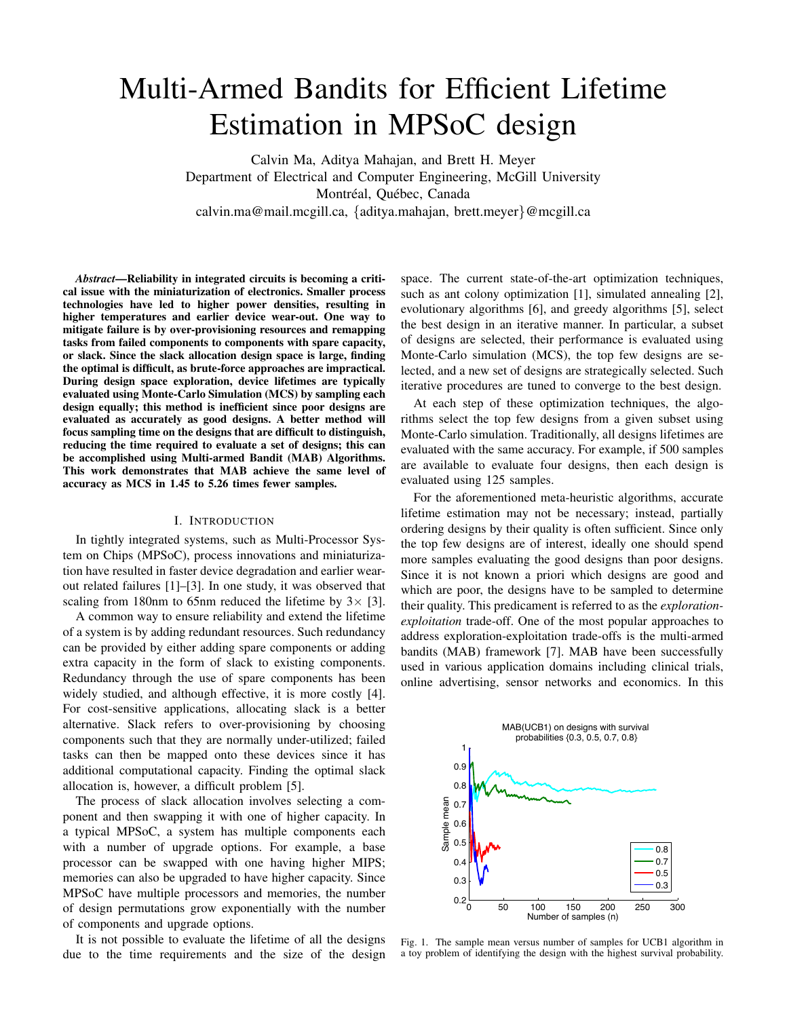# Multi-Armed Bandits for Efficient Lifetime Estimation in MPSoC design

Calvin Ma, Aditya Mahajan, and Brett H. Meyer Department of Electrical and Computer Engineering, McGill University Montréal, Québec, Canada calvin.ma@mail.mcgill.ca, {aditya.mahajan, brett.meyer}@mcgill.ca

*Abstract*—Reliability in integrated circuits is becoming a critical issue with the miniaturization of electronics. Smaller process technologies have led to higher power densities, resulting in higher temperatures and earlier device wear-out. One way to mitigate failure is by over-provisioning resources and remapping tasks from failed components to components with spare capacity, or slack. Since the slack allocation design space is large, finding the optimal is difficult, as brute-force approaches are impractical. During design space exploration, device lifetimes are typically evaluated using Monte-Carlo Simulation (MCS) by sampling each design equally; this method is inefficient since poor designs are evaluated as accurately as good designs. A better method will focus sampling time on the designs that are difficult to distinguish, reducing the time required to evaluate a set of designs; this can be accomplished using Multi-armed Bandit (MAB) Algorithms. This work demonstrates that MAB achieve the same level of accuracy as MCS in 1.45 to 5.26 times fewer samples.

#### I. INTRODUCTION

In tightly integrated systems, such as Multi-Processor System on Chips (MPSoC), process innovations and miniaturization have resulted in faster device degradation and earlier wearout related failures [1]–[3]. In one study, it was observed that scaling from 180nm to 65nm reduced the lifetime by  $3 \times 3$ .

A common way to ensure reliability and extend the lifetime of a system is by adding redundant resources. Such redundancy can be provided by either adding spare components or adding extra capacity in the form of slack to existing components. Redundancy through the use of spare components has been widely studied, and although effective, it is more costly [4]. For cost-sensitive applications, allocating slack is a better alternative. Slack refers to over-provisioning by choosing components such that they are normally under-utilized; failed tasks can then be mapped onto these devices since it has additional computational capacity. Finding the optimal slack allocation is, however, a difficult problem [5].

The process of slack allocation involves selecting a component and then swapping it with one of higher capacity. In a typical MPSoC, a system has multiple components each with a number of upgrade options. For example, a base processor can be swapped with one having higher MIPS; memories can also be upgraded to have higher capacity. Since MPSoC have multiple processors and memories, the number of design permutations grow exponentially with the number of components and upgrade options.

It is not possible to evaluate the lifetime of all the designs due to the time requirements and the size of the design space. The current state-of-the-art optimization techniques, such as ant colony optimization [1], simulated annealing [2], evolutionary algorithms [6], and greedy algorithms [5], select the best design in an iterative manner. In particular, a subset of designs are selected, their performance is evaluated using Monte-Carlo simulation (MCS), the top few designs are selected, and a new set of designs are strategically selected. Such iterative procedures are tuned to converge to the best design.

At each step of these optimization techniques, the algorithms select the top few designs from a given subset using Monte-Carlo simulation. Traditionally, all designs lifetimes are evaluated with the same accuracy. For example, if 500 samples are available to evaluate four designs, then each design is evaluated using 125 samples.

For the aforementioned meta-heuristic algorithms, accurate lifetime estimation may not be necessary; instead, partially ordering designs by their quality is often sufficient. Since only the top few designs are of interest, ideally one should spend more samples evaluating the good designs than poor designs. Since it is not known a priori which designs are good and which are poor, the designs have to be sampled to determine their quality. This predicament is referred to as the *explorationexploitation* trade-off. One of the most popular approaches to address exploration-exploitation trade-offs is the multi-armed bandits (MAB) framework [7]. MAB have been successfully used in various application domains including clinical trials, online advertising, sensor networks and economics. In this



Fig. 1. The sample mean versus number of samples for UCB1 algorithm in a toy problem of identifying the design with the highest survival probability.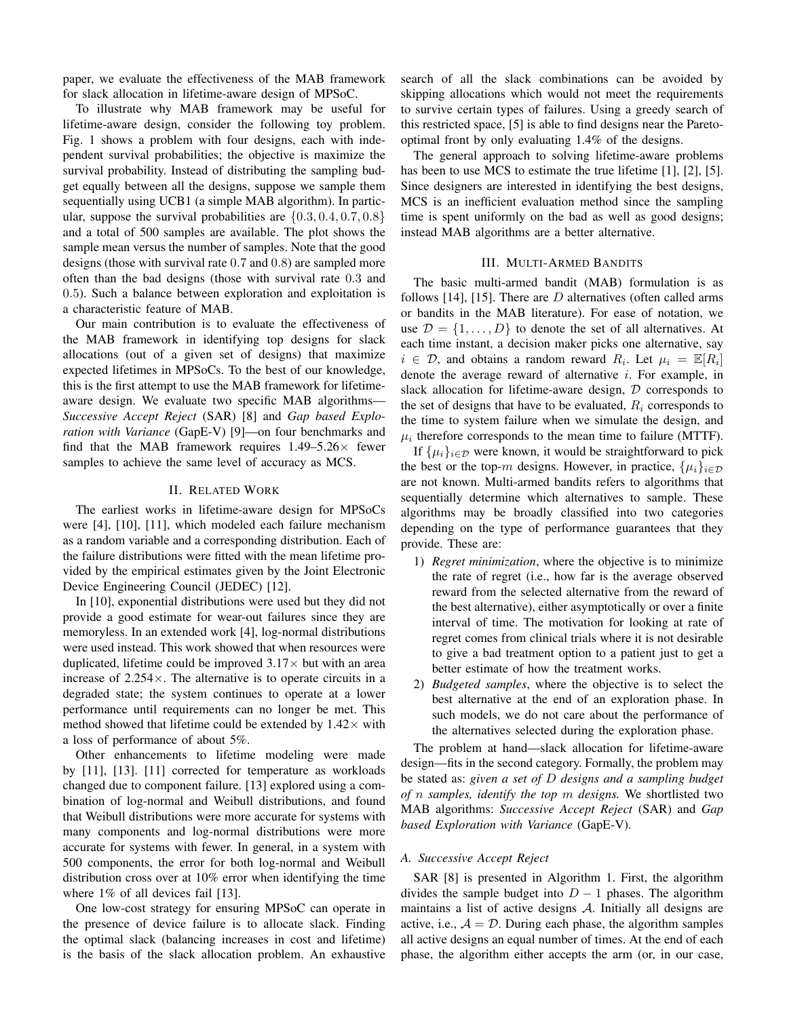paper, we evaluate the effectiveness of the MAB framework for slack allocation in lifetime-aware design of MPSoC.

To illustrate why MAB framework may be useful for lifetime-aware design, consider the following toy problem. Fig. 1 shows a problem with four designs, each with independent survival probabilities; the objective is maximize the survival probability. Instead of distributing the sampling budget equally between all the designs, suppose we sample them sequentially using UCB1 (a simple MAB algorithm). In particular, suppose the survival probabilities are  $\{0.3, 0.4, 0.7, 0.8\}$ and a total of 500 samples are available. The plot shows the sample mean versus the number of samples. Note that the good designs (those with survival rate 0.7 and 0.8) are sampled more often than the bad designs (those with survival rate 0.3 and 0.5). Such a balance between exploration and exploitation is a characteristic feature of MAB.

Our main contribution is to evaluate the effectiveness of the MAB framework in identifying top designs for slack allocations (out of a given set of designs) that maximize expected lifetimes in MPSoCs. To the best of our knowledge, this is the first attempt to use the MAB framework for lifetimeaware design. We evaluate two specific MAB algorithms— *Successive Accept Reject* (SAR) [8] and *Gap based Exploration with Variance* (GapE-V) [9]—on four benchmarks and find that the MAB framework requires  $1.49-5.26\times$  fewer samples to achieve the same level of accuracy as MCS.

## II. RELATED WORK

The earliest works in lifetime-aware design for MPSoCs were [4], [10], [11], which modeled each failure mechanism as a random variable and a corresponding distribution. Each of the failure distributions were fitted with the mean lifetime provided by the empirical estimates given by the Joint Electronic Device Engineering Council (JEDEC) [12].

In [10], exponential distributions were used but they did not provide a good estimate for wear-out failures since they are memoryless. In an extended work [4], log-normal distributions were used instead. This work showed that when resources were duplicated, lifetime could be improved  $3.17\times$  but with an area increase of 2.254×. The alternative is to operate circuits in a degraded state; the system continues to operate at a lower performance until requirements can no longer be met. This method showed that lifetime could be extended by  $1.42 \times$  with a loss of performance of about 5%.

Other enhancements to lifetime modeling were made by [11], [13]. [11] corrected for temperature as workloads changed due to component failure. [13] explored using a combination of log-normal and Weibull distributions, and found that Weibull distributions were more accurate for systems with many components and log-normal distributions were more accurate for systems with fewer. In general, in a system with 500 components, the error for both log-normal and Weibull distribution cross over at 10% error when identifying the time where 1% of all devices fail [13].

One low-cost strategy for ensuring MPSoC can operate in the presence of device failure is to allocate slack. Finding the optimal slack (balancing increases in cost and lifetime) is the basis of the slack allocation problem. An exhaustive search of all the slack combinations can be avoided by skipping allocations which would not meet the requirements to survive certain types of failures. Using a greedy search of this restricted space, [5] is able to find designs near the Paretooptimal front by only evaluating 1.4% of the designs.

The general approach to solving lifetime-aware problems has been to use MCS to estimate the true lifetime [1], [2], [5]. Since designers are interested in identifying the best designs, MCS is an inefficient evaluation method since the sampling time is spent uniformly on the bad as well as good designs; instead MAB algorithms are a better alternative.

## III. MULTI-ARMED BANDITS

The basic multi-armed bandit (MAB) formulation is as follows [14], [15]. There are  $D$  alternatives (often called arms or bandits in the MAB literature). For ease of notation, we use  $\mathcal{D} = \{1, \ldots, D\}$  to denote the set of all alternatives. At each time instant, a decision maker picks one alternative, say  $i \in \mathcal{D}$ , and obtains a random reward  $R_i$ . Let  $\mu_i = \mathbb{E}[R_i]$ denote the average reward of alternative  $i$ . For example, in slack allocation for lifetime-aware design,  $D$  corresponds to the set of designs that have to be evaluated,  $R_i$  corresponds to the time to system failure when we simulate the design, and  $\mu_i$  therefore corresponds to the mean time to failure (MTTF).

If  $\{\mu_i\}_{i \in \mathcal{D}}$  were known, it would be straightforward to pick the best or the top-m designs. However, in practice,  $\{\mu_i\}_{i\in\mathcal{D}}$ are not known. Multi-armed bandits refers to algorithms that sequentially determine which alternatives to sample. These algorithms may be broadly classified into two categories depending on the type of performance guarantees that they provide. These are:

- 1) *Regret minimization*, where the objective is to minimize the rate of regret (i.e., how far is the average observed reward from the selected alternative from the reward of the best alternative), either asymptotically or over a finite interval of time. The motivation for looking at rate of regret comes from clinical trials where it is not desirable to give a bad treatment option to a patient just to get a better estimate of how the treatment works.
- 2) *Budgeted samples*, where the objective is to select the best alternative at the end of an exploration phase. In such models, we do not care about the performance of the alternatives selected during the exploration phase.

The problem at hand—slack allocation for lifetime-aware design—fits in the second category. Formally, the problem may be stated as: *given a set of* D *designs and a sampling budget of* n *samples, identify the top* m *designs.* We shortlisted two MAB algorithms: *Successive Accept Reject* (SAR) and *Gap based Exploration with Variance* (GapE-V).

#### *A. Successive Accept Reject*

SAR [8] is presented in Algorithm 1. First, the algorithm divides the sample budget into  $D - 1$  phases. The algorithm maintains a list of active designs  $A$ . Initially all designs are active, i.e.,  $A = D$ . During each phase, the algorithm samples all active designs an equal number of times. At the end of each phase, the algorithm either accepts the arm (or, in our case,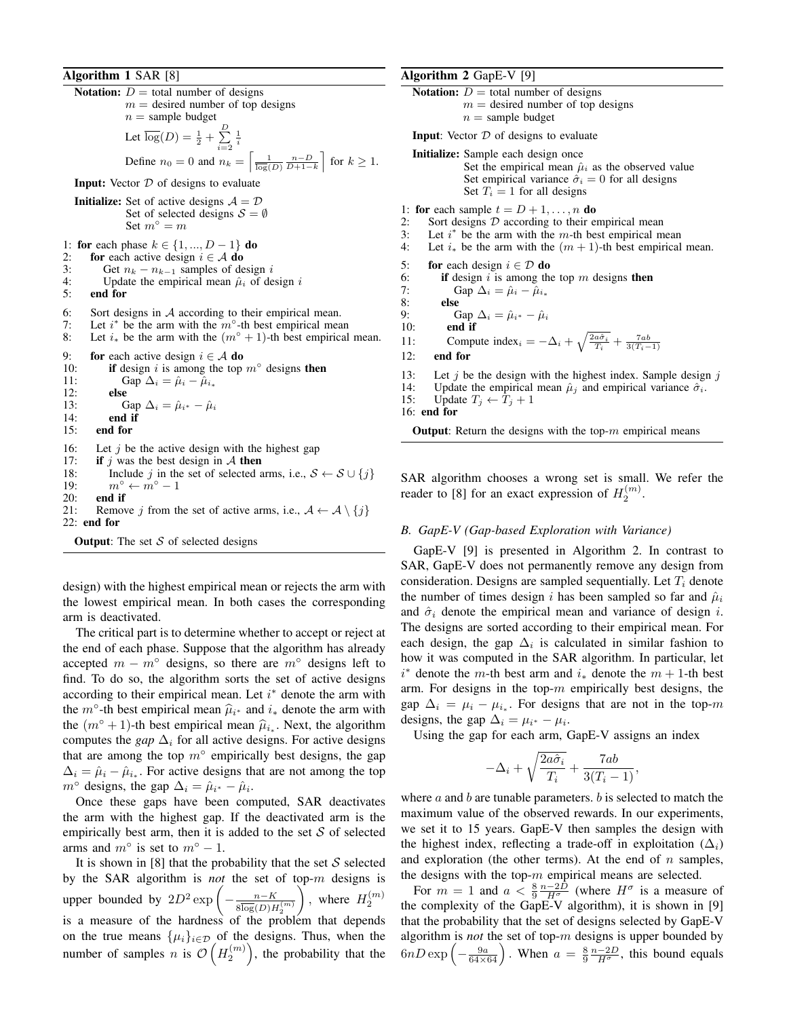## Algorithm 1 SAR [8]

Notation:  $D =$  total number of designs  $m =$  desired number of top designs  $n =$  sample budget Let  $\overline{\log}(D) = \frac{1}{2} + \sum_{i=2}^{D}$  $\frac{1}{i}$ Define  $n_0 = 0$  and  $n_k = \left[\frac{1}{\log(D)} \frac{n-D}{D+1-k}\right]$  for  $k \ge 1$ . **Input:** Vector  $D$  of designs to evaluate **Initialize:** Set of active designs  $A = D$ Set of selected designs  $S = \emptyset$ Set  $m^{\circ} = m$ 1: **for** each phase  $k \in \{1, ..., D - 1\}$  **do** 2: **for** each active design  $i \in \mathcal{A}$  **do**<br>3: Get  $n_k - n_{k-1}$  samples of de 3: Get  $n_k - n_{k-1}$  samples of design i<br>4: Update the empirical mean  $\hat{\mu}_i$  of de 4: Update the empirical mean  $\hat{\mu}_i$  of design i<br>5: **end for** end for 6: Sort designs in A according to their empirical mean.<br>7: Let  $i^*$  be the arm with the  $m^{\circ}$ -th best empirical mea 7: Let  $i^*$  be the arm with the  $m^{\circ}$ -th best empirical mean 8: Let  $i_*$  be the arm with the  $(m<sup>°</sup> + 1)$ -th best empirical mean. 9: for each active design  $i \in A$  do 10: if design i is among the top  $m^{\circ}$  designs then 11: Gap  $\Delta_i = \hat{\mu}_i - \hat{\mu}_{i_*}$ 12: else 13: Gap  $\Delta_i = \hat{\mu}_{i^*} - \hat{\mu}_i$ <br>14: **end if** 14: end if<br>15: end for end for 16: Let j be the active design with the highest gap 17: **if** j was the best design in  $\mathcal A$  **then** if j was the best design in  $A$  then 18: Include j in the set of selected arms, i.e.,  $S \leftarrow S \cup \{j\}$ 19:  $m^\circ \leftarrow m^\circ - 1$ 20: **end if**<br>21: **Remov** Remove j from the set of active arms, i.e.,  $A \leftarrow A \setminus \{j\}$ 22: end for **Output:** The set  $S$  of selected designs

design) with the highest empirical mean or rejects the arm with the lowest empirical mean. In both cases the corresponding arm is deactivated.

The critical part is to determine whether to accept or reject at the end of each phase. Suppose that the algorithm has already accepted  $m - m$ ° designs, so there are  $m$ ° designs left to find. To do so, the algorithm sorts the set of active designs according to their empirical mean. Let  $i^*$  denote the arm with the  $m^\circ$ -th best empirical mean  $\hat{\mu}_{i^*}$  and  $i^*$  denote the arm with the  $(m° + 1)$ -th best empirical mean  $\hat{\mu}_{i*}$ . Next, the algorithm computes the *gap*  $\Delta_i$  for all active designs. For active designs that are among the top  $m^{\circ}$  empirically best designs, the gap  $\Delta_i = \hat{\mu}_i - \hat{\mu}_{i_*}$ . For active designs that are not among the top  $m^{\circ}$  designs, the gap  $\Delta_i = \hat{\mu}_{i^*} - \hat{\mu}_{i^*}$ .

Once these gaps have been computed, SAR deactivates the arm with the highest gap. If the deactivated arm is the empirically best arm, then it is added to the set  $S$  of selected arms and  $m^\circ$  is set to  $m^\circ - 1$ .

It is shown in [8] that the probability that the set  $S$  selected by the SAR algorithm is *not* the set of top-m designs is upper bounded by  $2D^2 \exp \left(-\frac{n-K}{2}\right)$  $\overline{{8\overline{\log}(D)H_2^{(m)}}}$  $\Delta$ , where  $H_2^{(m)}$ is a measure of the hardness of the problem that depends on the true means  $\{\mu_i\}_{i\in\mathcal{D}}$  of the designs. Thus, when the number of samples *n* is  $\mathcal{O}(H_2^{(m)})$ , the probability that the

# Algorithm 2 GapE-V [9]

Notation:  $D =$  total number of designs  $m =$  desired number of top designs  $n =$  sample budget

**Input:** Vector  $D$  of designs to evaluate

Initialize: Sample each design once Set the empirical mean  $\hat{\mu}_i$  as the observed value Set empirical variance  $\hat{\sigma}_i = 0$  for all designs Set  $T_i = 1$  for all designs

- 1: for each sample  $t = D + 1, \ldots, n$  do
- 2: Sort designs  $D$  according to their empirical mean<br>3: Let  $i^*$  be the arm with the *m*-th best empirical m
- 3: Let  $i^*$  be the arm with the *m*-th best empirical mean
- 4: Let  $i_*$  be the arm with the  $(m + 1)$ -th best empirical mean.
- 5: for each design  $i \in \mathcal{D}$  do

6: if design 
$$
i
$$
 is among the top  $m$  designs then

7: Gap  $\Delta_i = \hat{\mu}_i - \hat{\mu}_{i_*}$ <br>8: else

else

8: else  
\n9: Gap 
$$
\Delta_i = \hat{\mu}_{i^*} - \hat{\mu}_i
$$
  
\n10: end if

$$
10: \qquad \qquad \textbf{end if}
$$

11: Compute index<sub>i</sub> =  $-\Delta_i + \sqrt{\frac{2a\hat{\sigma}_i}{T_i}} + \frac{7ab}{3(T_i-1)}$ 

- 12: end for
- 13: Let j be the design with the highest index. Sample design j 14: Update the empirical mean  $\hat{u}_i$  and empirical variance  $\hat{\sigma}_i$ .
- Update the empirical mean  $\hat{\mu}_j$  and empirical variance  $\hat{\sigma}_i$ .
- 15: Update  $T_j \leftarrow T_j + 1$
- 16: end for

**Output:** Return the designs with the top- $m$  empirical means

SAR algorithm chooses a wrong set is small. We refer the reader to [8] for an exact expression of  $H_2^{(m)}$ .

## *B. GapE-V (Gap-based Exploration with Variance)*

GapE-V [9] is presented in Algorithm 2. In contrast to SAR, GapE-V does not permanently remove any design from consideration. Designs are sampled sequentially. Let  $T_i$  denote the number of times design i has been sampled so far and  $\hat{\mu}_i$ and  $\hat{\sigma}_i$  denote the empirical mean and variance of design i. The designs are sorted according to their empirical mean. For each design, the gap  $\Delta_i$  is calculated in similar fashion to how it was computed in the SAR algorithm. In particular, let  $i^*$  denote the m-th best arm and  $i_*$  denote the  $m + 1$ -th best arm. For designs in the top- $m$  empirically best designs, the gap  $\Delta_i = \mu_i - \mu_{i_*}$ . For designs that are not in the top-m designs, the gap  $\Delta_i = \mu_{i^*} - \mu_i$ .

Using the gap for each arm, GapE-V assigns an index

$$
-\Delta_i + \sqrt{\frac{2a\hat{\sigma}_i}{T_i}} + \frac{7ab}{3(T_i-1)},
$$

where  $a$  and  $b$  are tunable parameters.  $b$  is selected to match the maximum value of the observed rewards. In our experiments, we set it to 15 years. GapE-V then samples the design with the highest index, reflecting a trade-off in exploitation  $(\Delta_i)$ and exploration (the other terms). At the end of  $n$  samples, the designs with the top- $m$  empirical means are selected.

For  $m = 1$  and  $a < \frac{8}{9} \frac{n-2\tilde{D}}{H^{\sigma}}$  (where  $H^{\sigma}$  is a measure of the complexity of the GapE-V algorithm), it is shown in [9] that the probability that the set of designs selected by GapE-V algorithm is *not* the set of top-m designs is upper bounded by  $6nD \exp\left(-\frac{9a}{64\times64}\right)$ . When  $a = \frac{8}{9}\frac{n-2D}{H^{\sigma}}$ , this bound equals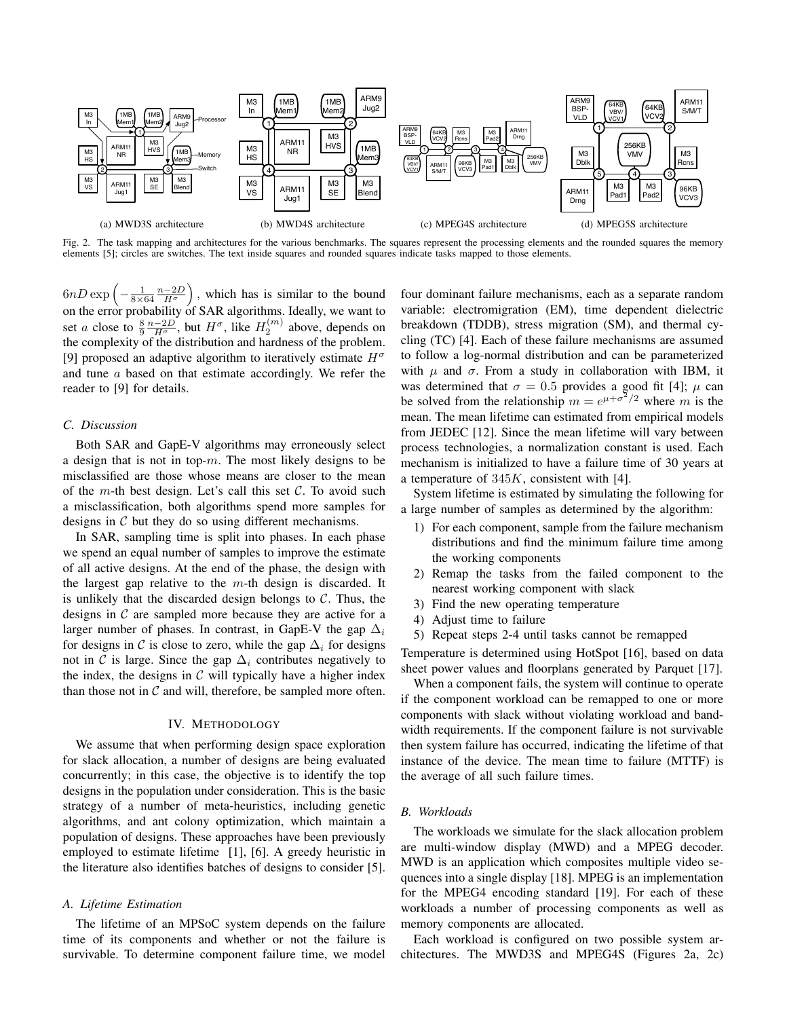

Fig. 2. The task mapping and architectures for the various benchmarks. The squares represent the processing elements and the rounded squares the memory elements [5]; circles are switches. The text inside squares and rounded squares indicate tasks mapped to those elements.

 $6nD\exp\left(-\frac{1}{8\times64}\frac{n-2D}{H^{\sigma}}\right)$  , which has is similar to the bound on the error probability of SAR algorithms. Ideally, we want to set *a* close to  $\frac{8}{9} \frac{n-2D}{H^{\sigma}}$ , but  $H^{\sigma}$ , like  $H_2^{(m)}$  above, depends on the complexity of the distribution and hardness of the problem. [9] proposed an adaptive algorithm to iteratively estimate  $H^{\sigma}$ and tune a based on that estimate accordingly. We refer the reader to [9] for details.

## *C. Discussion*

Both SAR and GapE-V algorithms may erroneously select a design that is not in top- $m$ . The most likely designs to be misclassified are those whose means are closer to the mean of the m-th best design. Let's call this set  $\mathcal{C}$ . To avoid such a misclassification, both algorithms spend more samples for designs in  $C$  but they do so using different mechanisms.

In SAR, sampling time is split into phases. In each phase we spend an equal number of samples to improve the estimate of all active designs. At the end of the phase, the design with the largest gap relative to the  $m$ -th design is discarded. It is unlikely that the discarded design belongs to  $C$ . Thus, the designs in  $\mathcal C$  are sampled more because they are active for a larger number of phases. In contrast, in GapE-V the gap  $\Delta_i$ for designs in C is close to zero, while the gap  $\Delta_i$  for designs not in C is large. Since the gap  $\Delta_i$  contributes negatively to the index, the designs in  $\mathcal C$  will typically have a higher index than those not in  $C$  and will, therefore, be sampled more often.

#### IV. METHODOLOGY

We assume that when performing design space exploration for slack allocation, a number of designs are being evaluated concurrently; in this case, the objective is to identify the top designs in the population under consideration. This is the basic strategy of a number of meta-heuristics, including genetic algorithms, and ant colony optimization, which maintain a population of designs. These approaches have been previously employed to estimate lifetime [1], [6]. A greedy heuristic in the literature also identifies batches of designs to consider [5].

## *A. Lifetime Estimation*

The lifetime of an MPSoC system depends on the failure time of its components and whether or not the failure is survivable. To determine component failure time, we model

four dominant failure mechanisms, each as a separate random variable: electromigration (EM), time dependent dielectric breakdown (TDDB), stress migration (SM), and thermal cycling (TC) [4]. Each of these failure mechanisms are assumed to follow a log-normal distribution and can be parameterized with  $\mu$  and  $\sigma$ . From a study in collaboration with IBM, it was determined that  $\sigma = 0.5$  provides a good fit [4];  $\mu$  can be solved from the relationship  $m = e^{\mu + \sigma^2/2}$  where m is the mean. The mean lifetime can estimated from empirical models from JEDEC [12]. Since the mean lifetime will vary between process technologies, a normalization constant is used. Each mechanism is initialized to have a failure time of 30 years at a temperature of  $345K$ , consistent with [4].

System lifetime is estimated by simulating the following for a large number of samples as determined by the algorithm:

- 1) For each component, sample from the failure mechanism distributions and find the minimum failure time among the working components
- 2) Remap the tasks from the failed component to the nearest working component with slack
- 3) Find the new operating temperature
- 4) Adjust time to failure
- 5) Repeat steps 2-4 until tasks cannot be remapped

Temperature is determined using HotSpot [16], based on data sheet power values and floorplans generated by Parquet [17].

When a component fails, the system will continue to operate if the component workload can be remapped to one or more components with slack without violating workload and bandwidth requirements. If the component failure is not survivable then system failure has occurred, indicating the lifetime of that instance of the device. The mean time to failure (MTTF) is the average of all such failure times.

## *B. Workloads*

The workloads we simulate for the slack allocation problem are multi-window display (MWD) and a MPEG decoder. MWD is an application which composites multiple video sequences into a single display [18]. MPEG is an implementation for the MPEG4 encoding standard [19]. For each of these workloads a number of processing components as well as memory components are allocated.

Each workload is configured on two possible system architectures. The MWD3S and MPEG4S (Figures 2a, 2c)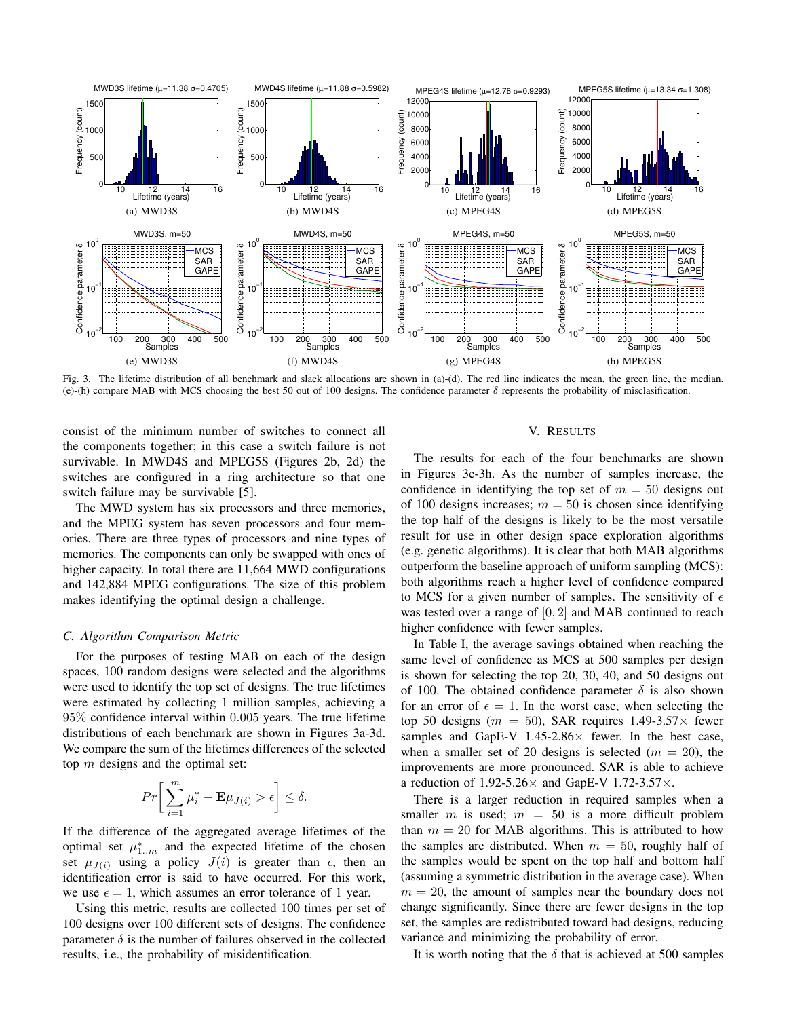

Fig. 3. The lifetime distribution of all benchmark and slack allocations are shown in (a)-(d). The red line indicates the mean, the green line, the median. (e)-(h) compare MAB with MCS choosing the best 50 out of 100 designs. The confidence parameter  $\delta$  represents the probability of misclasification.

consist of the minimum number of switches to connect all the components together; in this case a switch failure is not survivable. In MWD4S and MPEG5S (Figures 2b, 2d) the switches are configured in a ring architecture so that one switch failure may be survivable [5].

The MWD system has six processors and three memories, and the MPEG system has seven processors and four memories. There are three types of processors and nine types of memories. The components can only be swapped with ones of higher capacity. In total there are 11,664 MWD configurations and 142,884 MPEG configurations. The size of this problem makes identifying the optimal design a challenge.

#### *C. Algorithm Comparison Metric*

For the purposes of testing MAB on each of the design spaces, 100 random designs were selected and the algorithms were used to identify the top set of designs. The true lifetimes were estimated by collecting 1 million samples, achieving a 95% confidence interval within 0.005 years. The true lifetime distributions of each benchmark are shown in Figures 3a-3d. We compare the sum of the lifetimes differences of the selected top  $m$  designs and the optimal set:

$$
Pr\bigg[\sum_{i=1}^m \mu_i^* - \mathbf{E}\mu_{J(i)} > \epsilon\bigg] \leq \delta.
$$

If the difference of the aggregated average lifetimes of the optimal set  $\mu_{1..m}^*$  and the expected lifetime of the chosen set  $\mu_{J(i)}$  using a policy  $J(i)$  is greater than  $\epsilon$ , then an identification error is said to have occurred. For this work, we use  $\epsilon = 1$ , which assumes an error tolerance of 1 year.

Using this metric, results are collected 100 times per set of 100 designs over 100 different sets of designs. The confidence parameter  $\delta$  is the number of failures observed in the collected results, i.e., the probability of misidentification.

#### V. RESULTS

The results for each of the four benchmarks are shown in Figures 3e-3h. As the number of samples increase, the confidence in identifying the top set of  $m = 50$  designs out of 100 designs increases;  $m = 50$  is chosen since identifying the top half of the designs is likely to be the most versatile result for use in other design space exploration algorithms (e.g. genetic algorithms). It is clear that both MAB algorithms outperform the baseline approach of uniform sampling (MCS): both algorithms reach a higher level of confidence compared to MCS for a given number of samples. The sensitivity of  $\epsilon$ was tested over a range of  $[0, 2]$  and MAB continued to reach higher confidence with fewer samples.

In Table I, the average savings obtained when reaching the same level of confidence as MCS at 500 samples per design is shown for selecting the top 20, 30, 40, and 50 designs out of 100. The obtained confidence parameter  $\delta$  is also shown for an error of  $\epsilon = 1$ . In the worst case, when selecting the top 50 designs ( $m = 50$ ), SAR requires 1.49-3.57 $\times$  fewer samples and GapE-V  $1.45{\text -}2.86\times$  fewer. In the best case, when a smaller set of 20 designs is selected  $(m = 20)$ , the improvements are more pronounced. SAR is able to achieve a reduction of  $1.92-5.26\times$  and GapE-V  $1.72-3.57\times$ .

There is a larger reduction in required samples when a smaller m is used;  $m = 50$  is a more difficult problem than  $m = 20$  for MAB algorithms. This is attributed to how the samples are distributed. When  $m = 50$ , roughly half of the samples would be spent on the top half and bottom half (assuming a symmetric distribution in the average case). When  $m = 20$ , the amount of samples near the boundary does not change significantly. Since there are fewer designs in the top set, the samples are redistributed toward bad designs, reducing variance and minimizing the probability of error.

It is worth noting that the  $\delta$  that is achieved at 500 samples